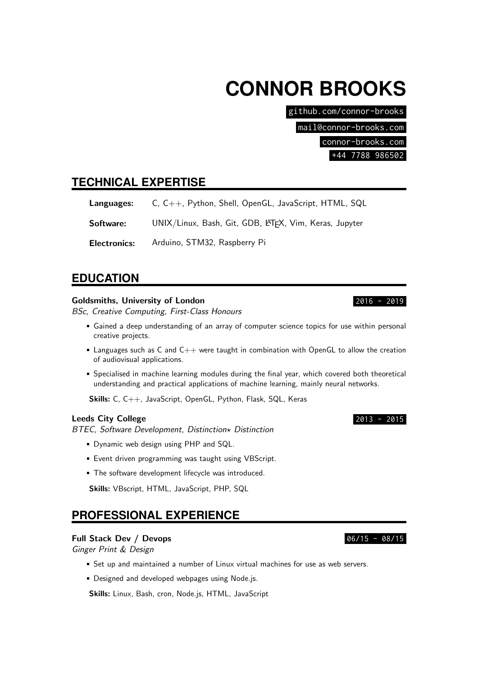# **CONNOR BROOKS**

github.com/connor-brooks

mail@connor-brooks.com

connor-brooks.com

+44 7788 986502

## **TECHNICAL EXPERTISE**

Languages: C, C++, Python, Shell, OpenGL, JavaScript, HTML, SQL

Software: UNIX/Linux, Bash, Git, GDB, LATEX, Vim, Keras, Jupyter

Electronics: Arduino, STM32, Raspberry Pi

## **EDUCATION**

## Goldsmiths, University of London 2016 - 2019

BSc, Creative Computing, First-Class Honours

- Gained a deep understanding of an array of computer science topics for use within personal creative projects.
- **Languages such as C and**  $C++$  **were taught in combination with OpenGL to allow the creation** of audiovisual applications.
- Specialised in machine learning modules during the final year, which covered both theoretical understanding and practical applications of machine learning, mainly neural networks.

Skills: C, C++, JavaScript, OpenGL, Python, Flask, SQL, Keras

## Leeds City College 2013 - 2015

BTEC, Software Development, Distinction\* Distinction

- Dynamic web design using PHP and SQL.
- **Event driven programming was taught using VBScript.**
- The software development lifecycle was introduced.

Skills: VBscript, HTML, JavaScript, PHP, SQL

## **PROFESSIONAL EXPERIENCE**

## Full Stack Dev / Devops 06/15 - 08/15

Ginger Print & Design

- Set up and maintained a number of Linux virtual machines for use as web servers.
- **Designed and developed webpages using Node.js.**

Skills: Linux, Bash, cron, Node.js, HTML, JavaScript